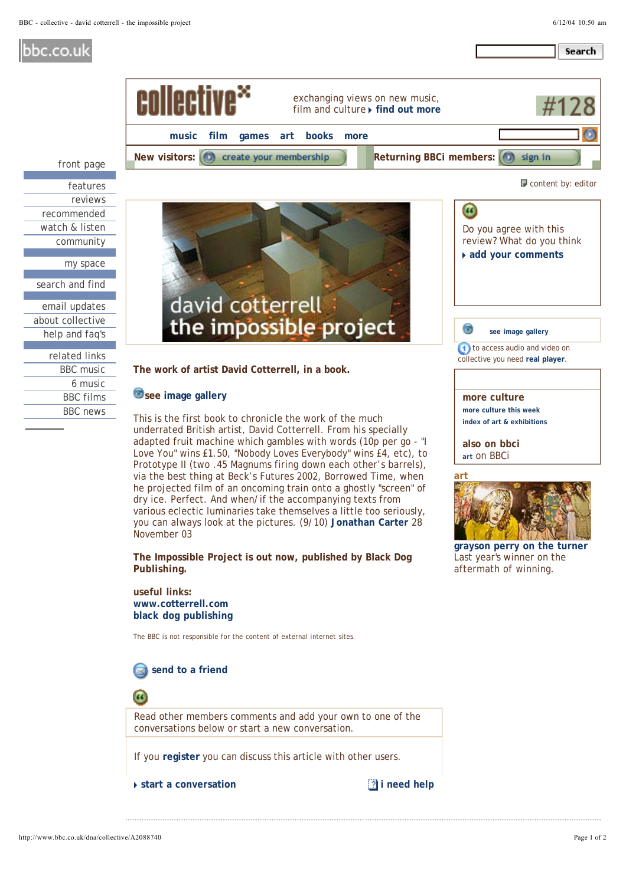Search

## bbc.co.uk



about collective help and faq's

| related links    |
|------------------|
| <b>BBC</b> music |
| 6 music          |
| <b>BBC</b> films |
| <b>BBC</b> news  |
|                  |

**The work of artist David Cotterrell, in a book.**

## see image gallery

This is the first book to chronicle the work of the much underrated British artist, David Cotterrell. From his specially adapted fruit machine which gambles with words (10p per go - "I Love You" wins £1.50, "Nobody Loves Everybody" wins £4, etc), to Prototype II (two .45 Magnums firing down each other's barrels), via the best thing at Beck's Futures 2002, Borrowed Time, when he projected film of an oncoming train onto a ghostly "screen" of dry ice. Perfect. And when/if the accompanying texts from various eclectic luminaries take themselves a little too seriously, you can always look at the pictures. (9/10) Jonathan Carter 28 November 03

**The Impossible Project is out now, published by Black Dog Publishing.**

**useful links: www.cotterrell.com black dog publishing**

The BBC is not responsible for the content of external internet sites.





**grayson perry on the turner** Last year's winner on the aftermath of winning.